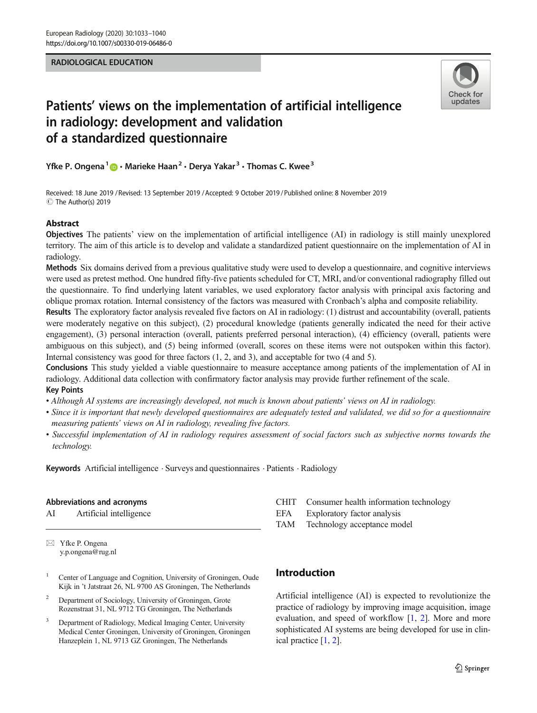#### **RADIOLOGICAL EDUCATION** RADIOLOGICAL EDUCATION



# Patients' views on the implementation of artificial intelligence in radiology: development and validation of a standardized questionnaire

Yfke P. Ongena<sup>1</sup>  $\bullet$  • Marieke Haan<sup>2</sup> • Derya Yakar<sup>3</sup> • Thomas C. Kwee<sup>3</sup>

Received: 18 June 2019 / Revised: 13 September 2019 /Accepted: 9 October 2019 /Published online: 8 November 2019C The Author(s) 2019

## Abstract

Objectives The patients' view on the implementation of artificial intelligence (AI) in radiology is still mainly unexplored territory. The aim of this article is to develop and validate a standardized patient questionnaire on the implementation of AI in radiology.

Methods Six domains derived from a previous qualitative study were used to develop a questionnaire, and cognitive interviews were used as pretest method. One hundred fifty-five patients scheduled for CT, MRI, and/or conventional radiography filled out the questionnaire. To find underlying latent variables, we used exploratory factor analysis with principal axis factoring and oblique promax rotation. Internal consistency of the factors was measured with Cronbach's alpha and composite reliability.

Results The exploratory factor analysis revealed five factors on AI in radiology: (1) distrust and accountability (overall, patients were moderately negative on this subject), (2) procedural knowledge (patients generally indicated the need for their active engagement), (3) personal interaction (overall, patients preferred personal interaction), (4) efficiency (overall, patients were ambiguous on this subject), and (5) being informed (overall, scores on these items were not outspoken within this factor). Internal consistency was good for three factors (1, 2, and 3), and acceptable for two (4 and 5).

Conclusions This study yielded a viable questionnaire to measure acceptance among patients of the implementation of AI in radiology. Additional data collection with confirmatory factor analysis may provide further refinement of the scale. Key Points

- Although AI systems are increasingly developed, not much is known about patients' views on AI in radiology.
- Since it is important that newly developed questionnaires are adequately tested and validated, we did so for a questionnaire measuring patients' views on AI in radiology, revealing five factors.
- Successful implementation of AI in radiology requires assessment of social factors such as subjective norms towards the technology.

Keywords Artificial intelligence . Surveys and questionnaires . Patients . Radiology

## Abbreviations and acronyms

AI Artificial intelligence

 $\boxtimes$  Yfke P. Ongena [y.p.ongena@rug.nl](mailto:y.p.ongena@rug.nl)

- <sup>1</sup> Center of Language and Cognition, University of Groningen, Oude Kijk in 't Jatstraat 26, NL 9700 AS Groningen, The Netherlands
- <sup>2</sup> Department of Sociology, University of Groningen, Grote Rozenstraat 31, NL 9712 TG Groningen, The Netherlands
- <sup>3</sup> Department of Radiology, Medical Imaging Center, University Medical Center Groningen, University of Groningen, Groningen Hanzeplein 1, NL 9713 GZ Groningen, The Netherlands
- CHIT Consumer health information technology
- EFA Exploratory factor analysis
- TAM Technology acceptance model

# Introduction

Artificial intelligence (AI) is expected to revolutionize the practice of radiology by improving image acquisition, image evaluation, and speed of workflow [\[1](#page-7-0), [2](#page-7-0)]. More and more sophisticated AI systems are being developed for use in clinical practice [[1,](#page-7-0) [2\]](#page-7-0).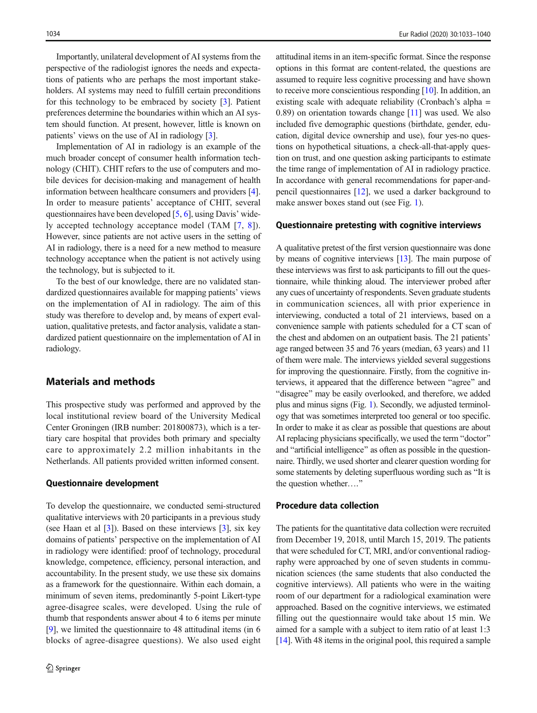Importantly, unilateral development of AI systems from the perspective of the radiologist ignores the needs and expectations of patients who are perhaps the most important stakeholders. AI systems may need to fulfill certain preconditions for this technology to be embraced by society [\[3](#page-7-0)]. Patient preferences determine the boundaries within which an AI system should function. At present, however, little is known on patients' views on the use of AI in radiology [\[3](#page-7-0)].

Implementation of AI in radiology is an example of the much broader concept of consumer health information technology (CHIT). CHIT refers to the use of computers and mobile devices for decision-making and management of health information between healthcare consumers and providers [[4\]](#page-7-0). In order to measure patients' acceptance of CHIT, several questionnaires have been developed [[5](#page-7-0), [6\]](#page-7-0), using Davis' widely accepted technology acceptance model (TAM [[7](#page-7-0), [8\]](#page-7-0)). However, since patients are not active users in the setting of AI in radiology, there is a need for a new method to measure technology acceptance when the patient is not actively using the technology, but is subjected to it.

To the best of our knowledge, there are no validated standardized questionnaires available for mapping patients' views on the implementation of AI in radiology. The aim of this study was therefore to develop and, by means of expert evaluation, qualitative pretests, and factor analysis, validate a standardized patient questionnaire on the implementation of AI in radiology.

## Materials and methods

This prospective study was performed and approved by the local institutional review board of the University Medical Center Groningen (IRB number: 201800873), which is a tertiary care hospital that provides both primary and specialty care to approximately 2.2 million inhabitants in the Netherlands. All patients provided written informed consent.

#### Questionnaire development

To develop the questionnaire, we conducted semi-structured qualitative interviews with 20 participants in a previous study (see Haan et al  $[3]$  $[3]$ ). Based on these interviews  $[3]$ , six key domains of patients' perspective on the implementation of AI in radiology were identified: proof of technology, procedural knowledge, competence, efficiency, personal interaction, and accountability. In the present study, we use these six domains as a framework for the questionnaire. Within each domain, a minimum of seven items, predominantly 5-point Likert-type agree-disagree scales, were developed. Using the rule of thumb that respondents answer about 4 to 6 items per minute [\[9](#page-7-0)], we limited the questionnaire to 48 attitudinal items (in 6 blocks of agree-disagree questions). We also used eight

attitudinal items in an item-specific format. Since the response options in this format are content-related, the questions are assumed to require less cognitive processing and have shown to receive more conscientious responding [\[10\]](#page-7-0). In addition, an existing scale with adequate reliability (Cronbach's alpha = 0.89) on orientation towards change [\[11\]](#page-7-0) was used. We also included five demographic questions (birthdate, gender, education, digital device ownership and use), four yes-no questions on hypothetical situations, a check-all-that-apply question on trust, and one question asking participants to estimate the time range of implementation of AI in radiology practice. In accordance with general recommendations for paper-andpencil questionnaires [[12\]](#page-7-0), we used a darker background to make answer boxes stand out (see Fig. [1](#page-2-0)).

#### Questionnaire pretesting with cognitive interviews

A qualitative pretest of the first version questionnaire was done by means of cognitive interviews [\[13\]](#page-7-0). The main purpose of these interviews was first to ask participants to fill out the questionnaire, while thinking aloud. The interviewer probed after any cues of uncertainty of respondents. Seven graduate students in communication sciences, all with prior experience in interviewing, conducted a total of 21 interviews, based on a convenience sample with patients scheduled for a CT scan of the chest and abdomen on an outpatient basis. The 21 patients' age ranged between 35 and 76 years (median, 63 years) and 11 of them were male. The interviews yielded several suggestions for improving the questionnaire. Firstly, from the cognitive interviews, it appeared that the difference between "agree" and "disagree" may be easily overlooked, and therefore, we added plus and minus signs (Fig. [1\)](#page-2-0). Secondly, we adjusted terminology that was sometimes interpreted too general or too specific. In order to make it as clear as possible that questions are about AI replacing physicians specifically, we used the term "doctor" and "artificial intelligence" as often as possible in the questionnaire. Thirdly, we used shorter and clearer question wording for some statements by deleting superfluous wording such as "It is the question whether…."

## Procedure data collection

The patients for the quantitative data collection were recruited from December 19, 2018, until March 15, 2019. The patients that were scheduled for CT, MRI, and/or conventional radiography were approached by one of seven students in communication sciences (the same students that also conducted the cognitive interviews). All patients who were in the waiting room of our department for a radiological examination were approached. Based on the cognitive interviews, we estimated filling out the questionnaire would take about 15 min. We aimed for a sample with a subject to item ratio of at least 1:3 [\[14](#page-7-0)]. With 48 items in the original pool, this required a sample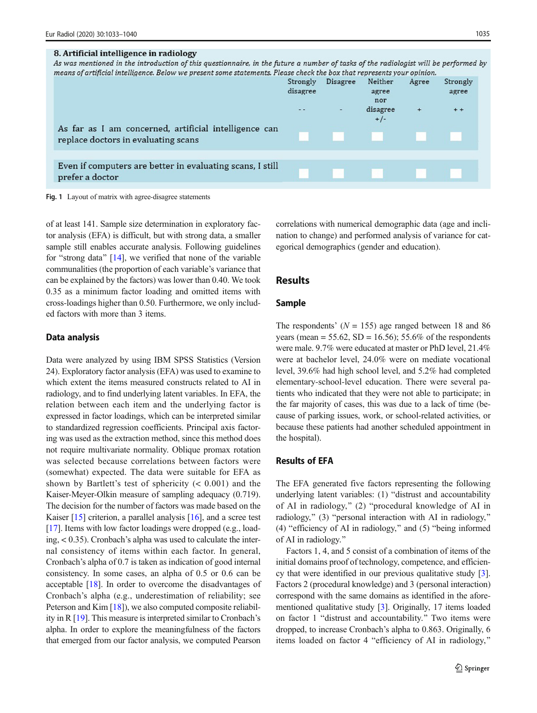### <span id="page-2-0"></span>8. Artificial intelligence in radiology

As was mentioned in the introduction of this questionnaire, in the future a number of tasks of the radiologist will be performed by means of artificial intelligence. Below we present some statements. Please check the box that represents your opinion.

|                                                                                              | Strongly<br>disagree | <b>Disagree</b> | Neither<br>agree<br>nor                    | Agree     | Strongly<br>agree |
|----------------------------------------------------------------------------------------------|----------------------|-----------------|--------------------------------------------|-----------|-------------------|
|                                                                                              | $ -$                 | ۰               | disagree<br>$+/-$                          | $\ddot{}$ | $+ +$             |
| As far as I am concerned, artificial intelligence can<br>replace doctors in evaluating scans |                      |                 |                                            |           |                   |
| Even if computers are better in evaluating scans, I still<br>prefer a doctor                 |                      |                 | and the state of the state of the state of |           |                   |

Fig. 1 Layout of matrix with agree-disagree statements

of at least 141. Sample size determination in exploratory factor analysis (EFA) is difficult, but with strong data, a smaller sample still enables accurate analysis. Following guidelines for "strong data"  $[14]$ , we verified that none of the variable communalities (the proportion of each variable's variance that can be explained by the factors) was lower than 0.40. We took 0.35 as a minimum factor loading and omitted items with cross-loadings higher than 0.50. Furthermore, we only included factors with more than 3 items.

### Data analysis

Data were analyzed by using IBM SPSS Statistics (Version 24). Exploratory factor analysis (EFA) was used to examine to which extent the items measured constructs related to AI in radiology, and to find underlying latent variables. In EFA, the relation between each item and the underlying factor is expressed in factor loadings, which can be interpreted similar to standardized regression coefficients. Principal axis factoring was used as the extraction method, since this method does not require multivariate normality. Oblique promax rotation was selected because correlations between factors were (somewhat) expected. The data were suitable for EFA as shown by Bartlett's test of sphericity  $( $0.001$ ) and the$ Kaiser-Meyer-Olkin measure of sampling adequacy (0.719). The decision for the number of factors was made based on the Kaiser [\[15\]](#page-7-0) criterion, a parallel analysis [\[16\]](#page-7-0), and a scree test [\[17\]](#page-7-0). Items with low factor loadings were dropped (e.g., loading, < 0.35). Cronbach's alpha was used to calculate the internal consistency of items within each factor. In general, Cronbach's alpha of 0.7 is taken as indication of good internal consistency. In some cases, an alpha of 0.5 or 0.6 can be acceptable [[18\]](#page-7-0). In order to overcome the disadvantages of Cronbach's alpha (e.g., underestimation of reliability; see Peterson and Kim [\[18\]](#page-7-0)), we also computed composite reliability in R [\[19](#page-7-0)]. This measure is interpreted similar to Cronbach's alpha. In order to explore the meaningfulness of the factors that emerged from our factor analysis, we computed Pearson

correlations with numerical demographic data (age and inclination to change) and performed analysis of variance for categorical demographics (gender and education).

## **Results**

#### Sample

The respondents' ( $N = 155$ ) age ranged between 18 and 86 years (mean =  $55.62$ , SD =  $16.56$ );  $55.6\%$  of the respondents were male. 9.7% were educated at master or PhD level, 21.4% were at bachelor level, 24.0% were on mediate vocational level, 39.6% had high school level, and 5.2% had completed elementary-school-level education. There were several patients who indicated that they were not able to participate; in the far majority of cases, this was due to a lack of time (because of parking issues, work, or school-related activities, or because these patients had another scheduled appointment in the hospital).

## Results of EFA

The EFA generated five factors representing the following underlying latent variables: (1) "distrust and accountability of AI in radiology," (2) "procedural knowledge of AI in radiology,"  $(3)$  "personal interaction with AI in radiology," (4) "efficiency of AI in radiology," and  $(5)$  "being informed of AI in radiology."

Factors 1, 4, and 5 consist of a combination of items of the initial domains proof of technology, competence, and efficiency that were identified in our previous qualitative study [[3\]](#page-7-0). Factors 2 (procedural knowledge) and 3 (personal interaction) correspond with the same domains as identified in the aforementioned qualitative study [\[3](#page-7-0)]. Originally, 17 items loaded on factor 1 "distrust and accountability." Two items were dropped, to increase Cronbach's alpha to 0.863. Originally, 6 items loaded on factor 4 "efficiency of AI in radiology,"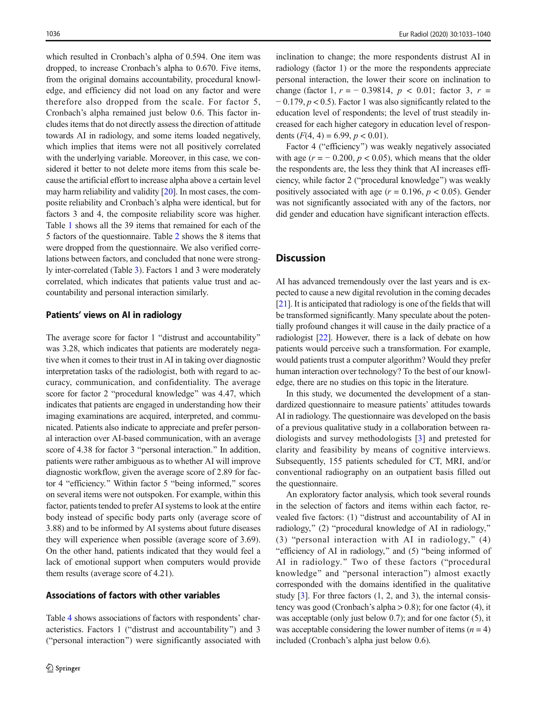which resulted in Cronbach's alpha of 0.594. One item was dropped, to increase Cronbach's alpha to 0.670. Five items, from the original domains accountability, procedural knowledge, and efficiency did not load on any factor and were therefore also dropped from the scale. For factor 5, Cronbach's alpha remained just below 0.6. This factor includes items that do not directly assess the direction of attitude towards AI in radiology, and some items loaded negatively, which implies that items were not all positively correlated with the underlying variable. Moreover, in this case, we considered it better to not delete more items from this scale because the artificial effort to increase alpha above a certain level may harm reliability and validity [[20\]](#page-7-0). In most cases, the composite reliability and Cronbach's alpha were identical, but for factors 3 and 4, the composite reliability score was higher. Table [1](#page-4-0) shows all the 39 items that remained for each of the 5 factors of the questionnaire. Table [2](#page-5-0) shows the 8 items that were dropped from the questionnaire. We also verified correlations between factors, and concluded that none were strongly inter-correlated (Table [3](#page-6-0)). Factors 1 and 3 were moderately correlated, which indicates that patients value trust and accountability and personal interaction similarly.

#### Patients' views on AI in radiology

The average score for factor 1 "distrust and accountability" was 3.28, which indicates that patients are moderately negative when it comes to their trust in AI in taking over diagnostic interpretation tasks of the radiologist, both with regard to accuracy, communication, and confidentiality. The average score for factor 2 "procedural knowledge" was 4.47, which indicates that patients are engaged in understanding how their imaging examinations are acquired, interpreted, and communicated. Patients also indicate to appreciate and prefer personal interaction over AI-based communication, with an average score of 4.38 for factor 3 "personal interaction." In addition, patients were rather ambiguous as to whether AI will improve diagnostic workflow, given the average score of 2.89 for factor 4 "efficiency." Within factor 5 "being informed," scores on several items were not outspoken. For example, within this factor, patients tended to prefer AI systems to look at the entire body instead of specific body parts only (average score of 3.88) and to be informed by AI systems about future diseases they will experience when possible (average score of 3.69). On the other hand, patients indicated that they would feel a lack of emotional support when computers would provide them results (average score of 4.21).

## Associations of factors with other variables

Table [4](#page-6-0) shows associations of factors with respondents' characteristics. Factors 1 ("distrust and accountability") and 3 ("personal interaction") were significantly associated with

inclination to change; the more respondents distrust AI in radiology (factor 1) or the more the respondents appreciate personal interaction, the lower their score on inclination to change (factor 1,  $r = -0.39814$ ,  $p < 0.01$ ; factor 3,  $r =$  $-0.179$ ,  $p < 0.5$ ). Factor 1 was also significantly related to the education level of respondents; the level of trust steadily increased for each higher category in education level of respondents  $(F(4, 4) = 6.99, p < 0.01)$ .

Factor 4 ("efficiency") was weakly negatively associated with age  $(r = -0.200, p < 0.05)$ , which means that the older the respondents are, the less they think that AI increases efficiency, while factor 2 ("procedural knowledge") was weakly positively associated with age ( $r = 0.196$ ,  $p < 0.05$ ). Gender was not significantly associated with any of the factors, nor did gender and education have significant interaction effects.

## **Discussion**

AI has advanced tremendously over the last years and is expected to cause a new digital revolution in the coming decades [\[21](#page-7-0)]. It is anticipated that radiology is one of the fields that will be transformed significantly. Many speculate about the potentially profound changes it will cause in the daily practice of a radiologist [[22\]](#page-7-0). However, there is a lack of debate on how patients would perceive such a transformation. For example, would patients trust a computer algorithm? Would they prefer human interaction over technology? To the best of our knowledge, there are no studies on this topic in the literature.

In this study, we documented the development of a standardized questionnaire to measure patients' attitudes towards AI in radiology. The questionnaire was developed on the basis of a previous qualitative study in a collaboration between radiologists and survey methodologists [[3\]](#page-7-0) and pretested for clarity and feasibility by means of cognitive interviews. Subsequently, 155 patients scheduled for CT, MRI, and/or conventional radiography on an outpatient basis filled out the questionnaire.

An exploratory factor analysis, which took several rounds in the selection of factors and items within each factor, revealed five factors:  $(1)$  "distrust and accountability of AI in radiology,"  $(2)$  "procedural knowledge of AI in radiology," (3) "personal interaction with AI in radiology,"  $(4)$ "efficiency of AI in radiology," and (5) "being informed of AI in radiology." Two of these factors ("procedural knowledge" and "personal interaction") almost exactly corresponded with the domains identified in the qualitative study [\[3](#page-7-0)]. For three factors (1, 2, and 3), the internal consistency was good (Cronbach's alpha  $> 0.8$ ); for one factor (4), it was acceptable (only just below 0.7); and for one factor (5), it was acceptable considering the lower number of items  $(n = 4)$ included (Cronbach's alpha just below 0.6).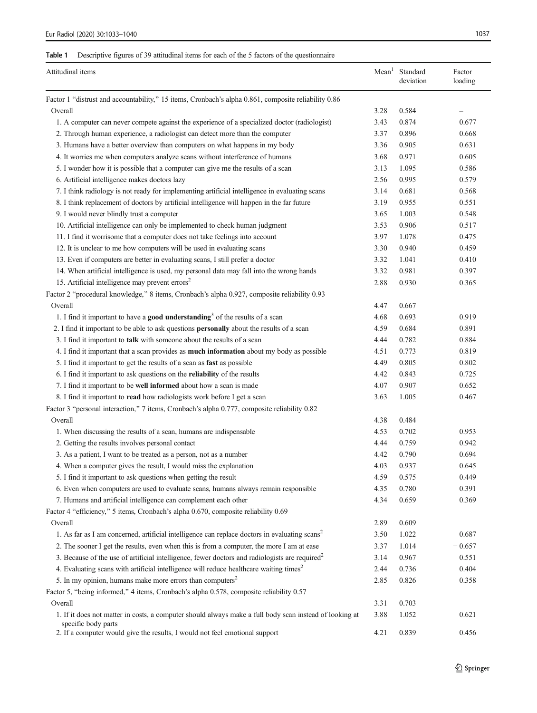## <span id="page-4-0"></span>Table 1 Descriptive figures of 39 attitudinal items for each of the 5 factors of the questionnaire

| Attitudinal items                                                                                                              |      | Mean <sup>1</sup> Standard<br>deviation | Factor<br>loading |
|--------------------------------------------------------------------------------------------------------------------------------|------|-----------------------------------------|-------------------|
| Factor 1 "distrust and accountability," 15 items, Cronbach's alpha 0.861, composite reliability 0.86                           |      |                                         |                   |
| Overall                                                                                                                        | 3.28 | 0.584                                   |                   |
| 1. A computer can never compete against the experience of a specialized doctor (radiologist)                                   | 3.43 | 0.874                                   | 0.677             |
| 2. Through human experience, a radiologist can detect more than the computer                                                   | 3.37 | 0.896                                   | 0.668             |
| 3. Humans have a better overview than computers on what happens in my body                                                     | 3.36 | 0.905                                   | 0.631             |
| 4. It worries me when computers analyze scans without interference of humans                                                   | 3.68 | 0.971                                   | 0.605             |
| 5. I wonder how it is possible that a computer can give me the results of a scan                                               | 3.13 | 1.095                                   | 0.586             |
| 6. Artificial intelligence makes doctors lazy                                                                                  | 2.56 | 0.995                                   | 0.579             |
| 7. I think radiology is not ready for implementing artificial intelligence in evaluating scans                                 | 3.14 | 0.681                                   | 0.568             |
| 8. I think replacement of doctors by artificial intelligence will happen in the far future                                     | 3.19 | 0.955                                   | 0.551             |
| 9. I would never blindly trust a computer                                                                                      | 3.65 | 1.003                                   | 0.548             |
| 10. Artificial intelligence can only be implemented to check human judgment                                                    | 3.53 | 0.906                                   | 0.517             |
| 11. I find it worrisome that a computer does not take feelings into account                                                    | 3.97 | 1.078                                   | 0.475             |
| 12. It is unclear to me how computers will be used in evaluating scans                                                         | 3.30 | 0.940                                   | 0.459             |
| 13. Even if computers are better in evaluating scans, I still prefer a doctor                                                  | 3.32 | 1.041                                   | 0.410             |
| 14. When artificial intelligence is used, my personal data may fall into the wrong hands                                       | 3.32 | 0.981                                   | 0.397             |
| 15. Artificial intelligence may prevent errors <sup>2</sup>                                                                    | 2.88 | 0.930                                   | 0.365             |
| Factor 2 "procedural knowledge," 8 items, Cronbach's alpha 0.927, composite reliability 0.93                                   |      |                                         |                   |
| Overall                                                                                                                        | 4.47 | 0.667                                   |                   |
| 1. I find it important to have a <b>good understanding</b> <sup>3</sup> of the results of a scan                               | 4.68 | 0.693                                   | 0.919             |
| 2. I find it important to be able to ask questions personally about the results of a scan                                      | 4.59 | 0.684                                   | 0.891             |
| 3. I find it important to talk with someone about the results of a scan                                                        | 4.44 | 0.782                                   | 0.884             |
| 4. I find it important that a scan provides as much information about my body as possible                                      | 4.51 | 0.773                                   | 0.819             |
| 5. I find it important to get the results of a scan as fast as possible                                                        | 4.49 | 0.805                                   | 0.802             |
| 6. I find it important to ask questions on the reliability of the results                                                      | 4.42 | 0.843                                   | 0.725             |
|                                                                                                                                |      |                                         |                   |
| 7. I find it important to be well informed about how a scan is made                                                            | 4.07 | 0.907                                   | 0.652             |
| 8. I find it important to read how radiologists work before I get a scan                                                       | 3.63 | 1.005                                   | 0.467             |
| Factor 3 "personal interaction," 7 items, Cronbach's alpha 0.777, composite reliability 0.82                                   |      |                                         |                   |
| Overall                                                                                                                        | 4.38 | 0.484                                   |                   |
| 1. When discussing the results of a scan, humans are indispensable                                                             | 4.53 | 0.702                                   | 0.953             |
| 2. Getting the results involves personal contact                                                                               | 4.44 | 0.759                                   | 0.942             |
| 3. As a patient, I want to be treated as a person, not as a number                                                             | 4.42 | 0.790                                   | 0.694             |
| 4. When a computer gives the result, I would miss the explanation                                                              | 4.03 | 0.937                                   | 0.645             |
| 5. I find it important to ask questions when getting the result                                                                | 4.59 | 0.575                                   | 0.449             |
| 6. Even when computers are used to evaluate scans, humans always remain responsible                                            | 4.35 | 0.780                                   | 0.391             |
| 7. Humans and artificial intelligence can complement each other                                                                | 4.34 | 0.659                                   | 0.369             |
| Factor 4 "efficiency," 5 items, Cronbach's alpha 0.670, composite reliability 0.69                                             |      |                                         |                   |
| Overall                                                                                                                        | 2.89 | 0.609                                   |                   |
| 1. As far as I am concerned, artificial intelligence can replace doctors in evaluating scans <sup>2</sup>                      | 3.50 | 1.022                                   | 0.687             |
| 2. The sooner I get the results, even when this is from a computer, the more I am at ease                                      | 3.37 | 1.014                                   | $-0.657$          |
| 3. Because of the use of artificial intelligence, fewer doctors and radiologists are required <sup>2</sup>                     | 3.14 | 0.967                                   | 0.551             |
| 4. Evaluating scans with artificial intelligence will reduce healthcare waiting times <sup>2</sup>                             | 2.44 | 0.736                                   | 0.404             |
| 5. In my opinion, humans make more errors than computers <sup>2</sup>                                                          | 2.85 | 0.826                                   | 0.358             |
| Factor 5, "being informed," 4 items, Cronbach's alpha 0.578, composite reliability 0.57                                        |      |                                         |                   |
| Overall                                                                                                                        | 3.31 | 0.703                                   |                   |
| 1. If it does not matter in costs, a computer should always make a full body scan instead of looking at<br>specific body parts | 3.88 | 1.052                                   | 0.621             |
| 2. If a computer would give the results, I would not feel emotional support                                                    | 4.21 | 0.839                                   | 0.456             |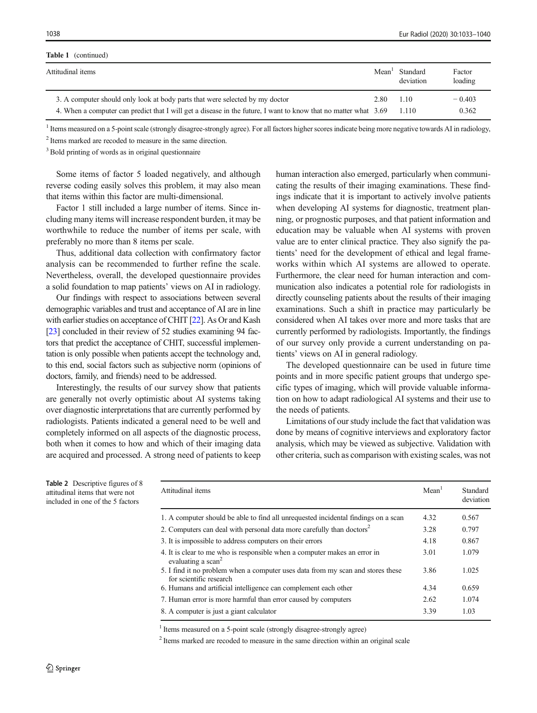<span id="page-5-0"></span>Table 1 (continued)

| Attitudinal items                                                                                               |      | Mean <sup>1</sup> Standard<br>deviation | Factor<br>loading |
|-----------------------------------------------------------------------------------------------------------------|------|-----------------------------------------|-------------------|
| 3. A computer should only look at body parts that were selected by my doctor                                    | 2.80 | 1.10                                    | $= 0.403$         |
| 4. When a computer can predict that I will get a disease in the future, I want to know that no matter what 3.69 |      | 1.110                                   | 0.362             |

<sup>1</sup> Items measured on a 5-point scale (strongly disagree-strongly agree). For all factors higher scores indicate being more negative towards AI in radiology,

<sup>2</sup> Items marked are recoded to measure in the same direction.

 $3$  Bold printing of words as in original questionnaire

Some items of factor 5 loaded negatively, and although reverse coding easily solves this problem, it may also mean that items within this factor are multi-dimensional.

Factor 1 still included a large number of items. Since including many items will increase respondent burden, it may be worthwhile to reduce the number of items per scale, with preferably no more than 8 items per scale.

Thus, additional data collection with confirmatory factor analysis can be recommended to further refine the scale. Nevertheless, overall, the developed questionnaire provides a solid foundation to map patients' views on AI in radiology.

Our findings with respect to associations between several demographic variables and trust and acceptance of AI are in line with earlier studies on acceptance of CHIT [\[22\]](#page-7-0). As Or and Kash [\[23](#page-7-0)] concluded in their review of 52 studies examining 94 factors that predict the acceptance of CHIT, successful implementation is only possible when patients accept the technology and, to this end, social factors such as subjective norm (opinions of doctors, family, and friends) need to be addressed.

Interestingly, the results of our survey show that patients are generally not overly optimistic about AI systems taking over diagnostic interpretations that are currently performed by radiologists. Patients indicated a general need to be well and completely informed on all aspects of the diagnostic process, both when it comes to how and which of their imaging data are acquired and processed. A strong need of patients to keep human interaction also emerged, particularly when communicating the results of their imaging examinations. These findings indicate that it is important to actively involve patients when developing AI systems for diagnostic, treatment planning, or prognostic purposes, and that patient information and education may be valuable when AI systems with proven value are to enter clinical practice. They also signify the patients' need for the development of ethical and legal frameworks within which AI systems are allowed to operate. Furthermore, the clear need for human interaction and communication also indicates a potential role for radiologists in directly counseling patients about the results of their imaging examinations. Such a shift in practice may particularly be considered when AI takes over more and more tasks that are currently performed by radiologists. Importantly, the findings of our survey only provide a current understanding on patients' views on AI in general radiology.

The developed questionnaire can be used in future time points and in more specific patient groups that undergo specific types of imaging, which will provide valuable information on how to adapt radiological AI systems and their use to the needs of patients.

Limitations of our study include the fact that validation was done by means of cognitive interviews and exploratory factor analysis, which may be viewed as subjective. Validation with other criteria, such as comparison with existing scales, was not

| Table 2 Descriptive figures of 8 |
|----------------------------------|
| attitudinal items that were not  |
| included in one of the 5 factors |

| Attitudinal items                                                                                           | Mean <sup>1</sup> | Standard<br>deviation |
|-------------------------------------------------------------------------------------------------------------|-------------------|-----------------------|
| 1. A computer should be able to find all unrequested incidental findings on a scan                          | 4.32              | 0.567                 |
| 2. Computers can deal with personal data more carefully than doctors <sup>2</sup>                           | 3.28              | 0.797                 |
| 3. It is impossible to address computers on their errors                                                    | 4.18              | 0.867                 |
| 4. It is clear to me who is responsible when a computer makes an error in<br>evaluating a scan <sup>2</sup> | 3.01              | 1.079                 |
| 5. I find it no problem when a computer uses data from my scan and stores these<br>for scientific research  | 3.86              | 1.025                 |
| 6. Humans and artificial intelligence can complement each other                                             | 4.34              | 0.659                 |
| 7. Human error is more harmful than error caused by computers                                               | 2.62              | 1.074                 |
| 8. A computer is just a giant calculator                                                                    | 3.39              | 1.03                  |

<sup>1</sup> Items measured on a 5-point scale (strongly disagree-strongly agree)

<sup>2</sup> Items marked are recoded to measure in the same direction within an original scale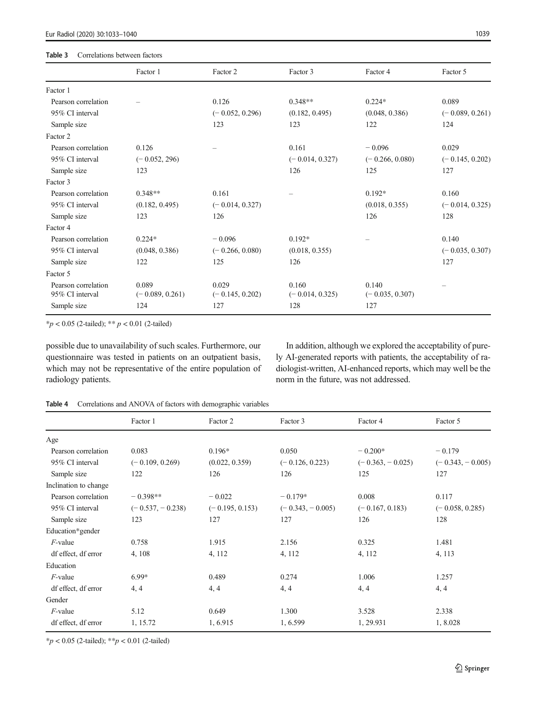#### <span id="page-6-0"></span>Table 3 Correlations between factors

|                                        | Factor 1                   | Factor 2                   | Factor 3                   | Factor 4                   | Factor 5          |
|----------------------------------------|----------------------------|----------------------------|----------------------------|----------------------------|-------------------|
| Factor 1                               |                            |                            |                            |                            |                   |
| Pearson correlation                    |                            | 0.126                      | $0.348**$                  | $0.224*$                   | 0.089             |
| 95% CI interval                        |                            | $(-0.052, 0.296)$          | (0.182, 0.495)             | (0.048, 0.386)             | $(-0.089, 0.261)$ |
| Sample size                            |                            | 123                        | 123                        | 122                        | 124               |
| Factor 2                               |                            |                            |                            |                            |                   |
| Pearson correlation                    | 0.126                      |                            | 0.161                      | $-0.096$                   | 0.029             |
| 95% CI interval                        | $(-0.052, 296)$            |                            | $(-0.014, 0.327)$          | $(-0.266, 0.080)$          | $(-0.145, 0.202)$ |
| Sample size                            | 123                        |                            | 126                        | 125                        | 127               |
| Factor 3                               |                            |                            |                            |                            |                   |
| Pearson correlation                    | $0.348**$                  | 0.161                      |                            | $0.192*$                   | 0.160             |
| 95% CI interval                        | (0.182, 0.495)             | $(-0.014, 0.327)$          |                            | (0.018, 0.355)             | $(-0.014, 0.325)$ |
| Sample size                            | 123                        | 126                        |                            | 126                        | 128               |
| Factor 4                               |                            |                            |                            |                            |                   |
| Pearson correlation                    | $0.224*$                   | $-0.096$                   | $0.192*$                   |                            | 0.140             |
| 95% CI interval                        | (0.048, 0.386)             | $(-0.266, 0.080)$          | (0.018, 0.355)             |                            | $(-0.035, 0.307)$ |
| Sample size                            | 122                        | 125                        | 126                        |                            | 127               |
| Factor 5                               |                            |                            |                            |                            |                   |
| Pearson correlation<br>95% CI interval | 0.089<br>$(-0.089, 0.261)$ | 0.029<br>$(-0.145, 0.202)$ | 0.160<br>$(-0.014, 0.325)$ | 0.140<br>$(-0.035, 0.307)$ |                   |
| Sample size                            | 124                        | 127                        | 128                        | 127                        |                   |

\*p < 0.05 (2-tailed); \*\* p < 0.01 (2-tailed)

possible due to unavailability of such scales. Furthermore, our questionnaire was tested in patients on an outpatient basis, which may not be representative of the entire population of radiology patients.

In addition, although we explored the acceptability of purely AI-generated reports with patients, the acceptability of radiologist-written, AI-enhanced reports, which may well be the norm in the future, was not addressed.

| Table 4 | Correlations and ANOVA of factors with demographic variables |  |  |  |  |  |
|---------|--------------------------------------------------------------|--|--|--|--|--|
|---------|--------------------------------------------------------------|--|--|--|--|--|

|                       | Factor 1           | Factor 2          | Factor 3           | Factor 4           | Factor 5           |
|-----------------------|--------------------|-------------------|--------------------|--------------------|--------------------|
| Age                   |                    |                   |                    |                    |                    |
| Pearson correlation   | 0.083              | $0.196*$          | 0.050              | $-0.200*$          | $-0.179$           |
| 95% CI interval       | $(-0.109, 0.269)$  | (0.022, 0.359)    | $(-0.126, 0.223)$  | $(-0.363, -0.025)$ | $(-0.343, -0.005)$ |
| Sample size           | 122                | 126               | 126                | 125                | 127                |
| Inclination to change |                    |                   |                    |                    |                    |
| Pearson correlation   | $-0.398**$         | $-0.022$          | $-0.179*$          | 0.008              | 0.117              |
| 95% CI interval       | $(-0.537, -0.238)$ | $(-0.195, 0.153)$ | $(-0.343, -0.005)$ | $(-0.167, 0.183)$  | $(-0.058, 0.285)$  |
| Sample size           | 123                | 127               | 127                | 126                | 128                |
| Education*gender      |                    |                   |                    |                    |                    |
| $F$ -value            | 0.758              | 1.915             | 2.156              | 0.325              | 1.481              |
| df effect, df error   | 4, 108             | 4, 112            | 4, 112             | 4, 112             | 4, 113             |
| Education             |                    |                   |                    |                    |                    |
| $F$ -value            | $6.99*$            | 0.489             | 0.274              | 1.006              | 1.257              |
| df effect, df error   | 4, 4               | 4, 4              | 4, 4               | 4, 4               | 4, 4               |
| Gender                |                    |                   |                    |                    |                    |
| $F$ -value            | 5.12               | 0.649             | 1.300              | 3.528              | 2.338              |
| df effect, df error   | 1, 15.72           | 1, 6.915          | 1, 6.599           | 1, 29.931          | 1,8.028            |

\*p < 0.05 (2-tailed); \*\*p < 0.01 (2-tailed)